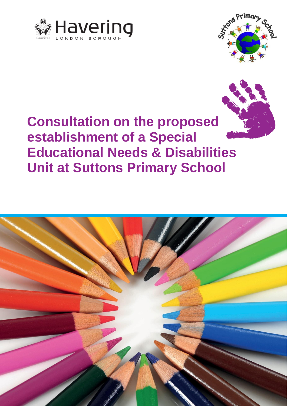





**Consultation on the proposed establishment of a Special Educational Needs & Disabilities Unit at Suttons Primary School**

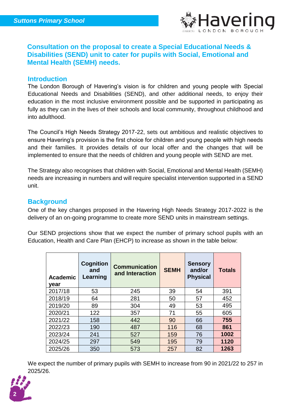

# **Consultation on the proposal to create a Special Educational Needs & Disabilities (SEND) unit to cater for pupils with Social, Emotional and Mental Health (SEMH) needs.**

#### **Introduction**

The London Borough of Havering's vision is for children and young people with Special Educational Needs and Disabilities (SEND), and other additional needs, to enjoy their education in the most inclusive environment possible and be supported in participating as fully as they can in the lives of their schools and local community, throughout childhood and into adulthood.

The Council's High Needs Strategy 2017-22, sets out ambitious and realistic objectives to ensure Havering's provision is the first choice for children and young people with high needs and their families. It provides details of our local offer and the changes that will be implemented to ensure that the needs of children and young people with SEND are met.

The Strategy also recognises that children with Social, Emotional and Mental Health (SEMH) needs are increasing in numbers and will require specialist intervention supported in a SEND unit.

## **Background**

One of the key changes proposed in the Havering High Needs Strategy 2017-2022 is the delivery of an on-going programme to create more SEND units in mainstream settings.

Our SEND projections show that we expect the number of primary school pupils with an Education, Health and Care Plan (EHCP) to increase as shown in the table below:

| <b>Academic</b><br>year | Cognition<br>and<br>Learning | <b>Communication</b><br>and Interaction | <b>SEMH</b> | <b>Sensory</b><br>and/or<br><b>Physical</b> | <b>Totals</b> |
|-------------------------|------------------------------|-----------------------------------------|-------------|---------------------------------------------|---------------|
| 2017/18                 | 53                           | 245                                     | 39          | 54                                          | 391           |
| 2018/19                 | 64                           | 281                                     | 50          | 57                                          | 452           |
| 2019/20                 | 89                           | 304                                     | 49          | 53                                          | 495           |
| 2020/21                 | 122                          | 357                                     | 71          | 55                                          | 605           |
| 2021/22                 | 158                          | 442                                     | 90          | 66                                          | 755           |
| 2022/23                 | 190                          | 487                                     | 116         | 68                                          | 861           |
| 2023/24                 | 241                          | 527                                     | 159         | 76                                          | 1002          |
| 2024/25                 | 297                          | 549                                     | 195         | 79                                          | 1120          |
| 2025/26                 | 350                          | 573                                     | 257         | 82                                          | 1263          |

We expect the number of primary pupils with SEMH to increase from 90 in 2021/22 to 257 in 2025/26.

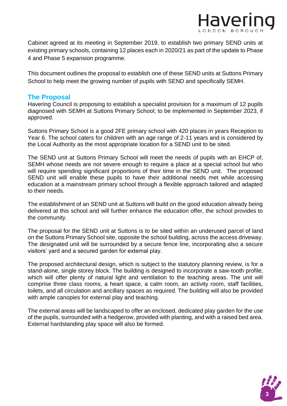

Cabinet agreed at its meeting in September 2019, to establish two primary SEND units at existing primary schools, containing 12 places each in 2020/21 as part of the update to Phase 4 and Phase 5 expansion programme.

This document outlines the proposal to establish one of these SEND units at Suttons Primary School to help meet the growing number of pupils with SEND and specifically SEMH.

## **The Proposal**

Havering Council is proposing to establish a specialist provision for a maximum of 12 pupils diagnosed with SEMH at Suttons Primary School; to be implemented in September 2023, if approved.

Suttons Primary School is a good 2FE primary school with 420 places in years Reception to Year 6. The school caters for children with an age range of 2-11 years and is considered by the Local Authority as the most appropriate location for a SEND unit to be sited.

The SEND unit at Suttons Primary School will meet the needs of pupils with an EHCP of, SEMH whose needs are not severe enough to require a place at a special school but who will require spending significant proportions of their time in the SEND unit. The proposed SEND unit will enable these pupils to have their additional needs met while accessing education at a mainstream primary school through a flexible approach tailored and adapted to their needs.

The establishment of an SEND unit at Suttons will build on the good education already being delivered at this school and will further enhance the education offer, the school provides to the community.

The proposal for the SEND unit at Suttons is to be sited within an underused parcel of land on the Suttons Primary School site, opposite the school building, across the access driveway. The designated unit will be surrounded by a secure fence line, incorporating also a secure visitors' yard and a secured garden for external play.

The proposed architectural design, which is subject to the statutory planning review, is for a stand-alone, single storey block. The building is designed to incorporate a saw-tooth profile, which will offer plenty of natural light and ventilation to the teaching areas. The unit will comprise three class rooms, a heart space, a calm room, an activity room, staff facilities, toilets, and all circulation and ancillary spaces as required. The building will also be provided with ample canopies for external play and teaching.

The external areas will be landscaped to offer an enclosed, dedicated play garden for the use of the pupils, surrounded with a hedgerow, provided with planting, and with a raised bed area. External hardstanding play space will also be formed.

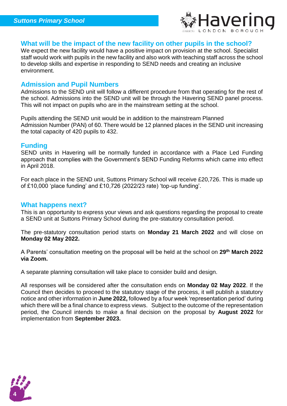

## **What will be the impact of the new facility on other pupils in the school?**

We expect the new facility would have a positive impact on provision at the school. Specialist staff would work with pupils in the new facility and also work with teaching staff across the school to develop skills and expertise in responding to SEND needs and creating an inclusive environment.

#### **Admission and Pupil Numbers**

Admissions to the SEND unit will follow a different procedure from that operating for the rest of the school. Admissions into the SEND unit will be through the Havering SEND panel process. This will not impact on pupils who are in the mainstream setting at the school.

Pupils attending the SEND unit would be in addition to the mainstream Planned Admission Number (PAN) of 60. There would be 12 planned places in the SEND unit increasing the total capacity of 420 pupils to 432.

#### **Funding**

SEND units in Havering will be normally funded in accordance with a Place Led Funding approach that complies with the Government's SEND Funding Reforms which came into effect in April 2018.

For each place in the SEND unit, Suttons Primary School will receive £20,726. This is made up of £10,000 'place funding' and £10,726 (2022/23 rate) 'top-up funding'.

## **What happens next?**

This is an opportunity to express your views and ask questions regarding the proposal to create a SEND unit at Suttons Primary School during the pre-statutory consultation period.

The pre-statutory consultation period starts on **Monday 21 March 2022** and will close on **Monday 02 May 2022.**

A Parents' consultation meeting on the proposal will be held at the school on **29th March 2022 via Zoom.**

A separate planning consultation will take place to consider build and design.

All responses will be considered after the consultation ends on **Monday 02 May 2022**. If the Council then decides to proceed to the statutory stage of the process, it will publish a statutory notice and other information in **June 2022,** followed by a four week 'representation period' during which there will be a final chance to express views. Subject to the outcome of the representation period, the Council intends to make a final decision on the proposal by **August 2022** for implementation from **September 2023.**